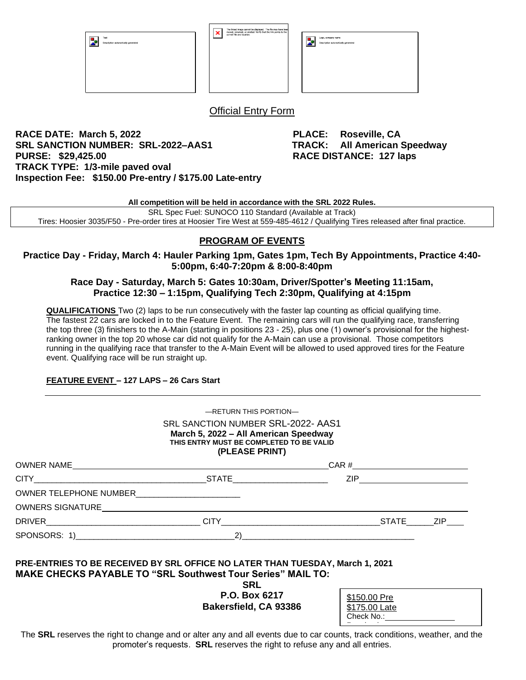| Text<br>17.<br>Description automatically generated | The linked image cannot be displayed. The file may have been<br>moved, renamed, or deleted. Verify that the link points to the<br>×ı<br>correct file and location. | Logo, company name<br>79<br>Description automatically generated |
|----------------------------------------------------|--------------------------------------------------------------------------------------------------------------------------------------------------------------------|-----------------------------------------------------------------|
|----------------------------------------------------|--------------------------------------------------------------------------------------------------------------------------------------------------------------------|-----------------------------------------------------------------|

Official Entry Form

**RACE DATE: March 5, 2022 PLACE: Roseville, CA SRL SANCTION NUMBER: SRL-2022–AAS1 TRACK: All American Speedway PURSE: \$29,425.00 RACE DISTANCE: 127 laps TRACK TYPE: 1/3-mile paved oval Inspection Fee: \$150.00 Pre-entry / \$175.00 Late-entry**

**All competition will be held in accordance with the SRL 2022 Rules.**

SRL Spec Fuel: SUNOCO 110 Standard (Available at Track) Tires: Hoosier 3035/F50 - Pre-order tires at Hoosier Tire West at 559-485-4612 / Qualifying Tires released after final practice.

### **PROGRAM OF EVENTS**

**Practice Day - Friday, March 4: Hauler Parking 1pm, Gates 1pm, Tech By Appointments, Practice 4:40- 5:00pm, 6:40-7:20pm & 8:00-8:40pm**

#### **Race Day - Saturday, March 5: Gates 10:30am, Driver/Spotter's Meeting 11:15am, Practice 12:30 – 1:15pm, Qualifying Tech 2:30pm, Qualifying at 4:15pm**

**QUALIFICATIONS** Two (2) laps to be run consecutively with the faster lap counting as official qualifying time. The fastest 22 cars are locked in to the Feature Event. The remaining cars will run the qualifying race, transferring the top three (3) finishers to the A-Main (starting in positions 23 - 25), plus one (1) owner's provisional for the highestranking owner in the top 20 whose car did not qualify for the A-Main can use a provisional. Those competitors running in the qualifying race that transfer to the A-Main Event will be allowed to used approved tires for the Feature event. Qualifying race will be run straight up.

#### **FEATURE EVENT – 127 LAPS – 26 Cars Start**

|                   | SRL SANCTION NUMBER SRL-2022- AAS1<br>March 5, 2022 - All American Speedway<br>THIS ENTRY MUST BE COMPLETED TO BE VALID<br>(PLEASE PRINT) |                          |  |
|-------------------|-------------------------------------------------------------------------------------------------------------------------------------------|--------------------------|--|
|                   |                                                                                                                                           | $CAR # \n$               |  |
|                   |                                                                                                                                           | ZIP ____________________ |  |
|                   |                                                                                                                                           |                          |  |
|                   |                                                                                                                                           |                          |  |
|                   |                                                                                                                                           |                          |  |
| SPONSORS: 1) $2)$ |                                                                                                                                           |                          |  |

**SRL**

**P.O. Box 6217 Bakersfield, CA 93386**

| \$150.00 Pre  |  |
|---------------|--|
| \$175.00 Late |  |
| Check No.:    |  |

The **SRL** reserves the right to change and or alter any and all events due to car counts, track conditions, weather, and the promoter's requests. **SRL** reserves the right to refuse any and all entries. <u>Received:</u>